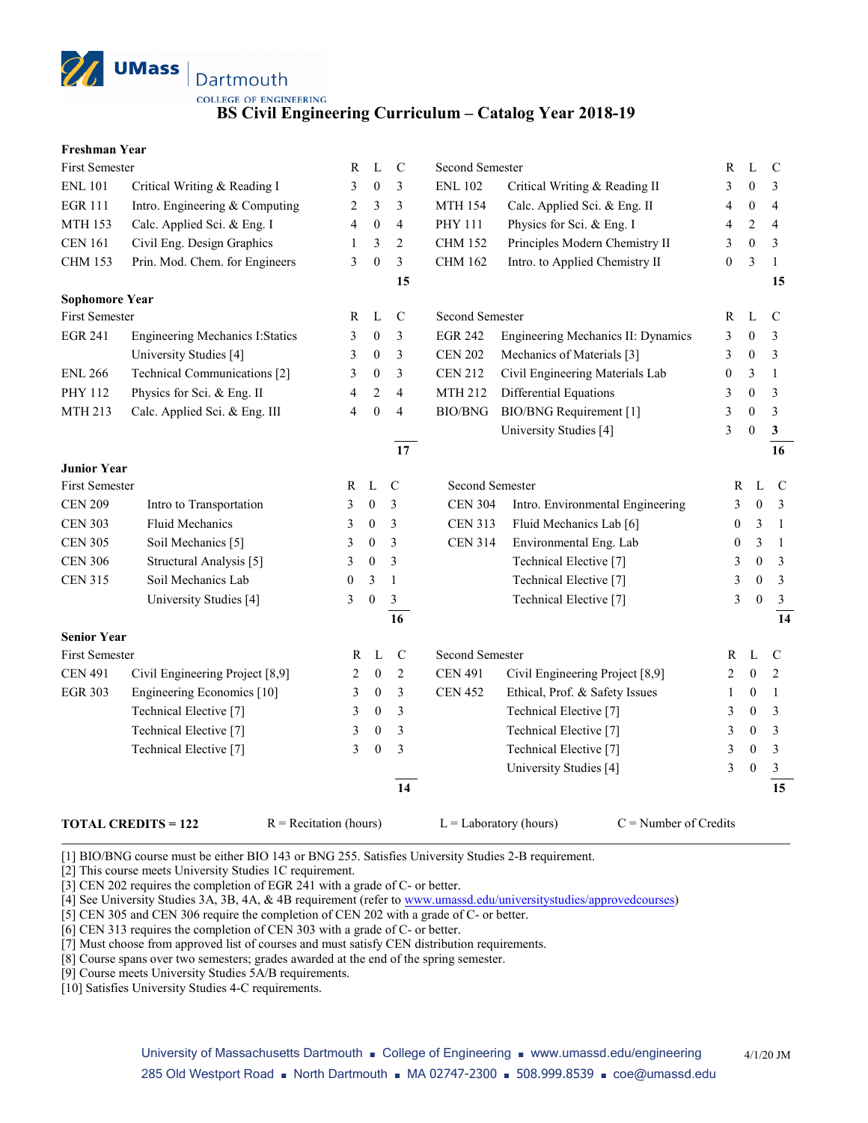

**BS Civil Engineering Curriculum – Catalog Year 2018-19**

#### **Freshman Year**

| <b>First Semester</b> |                                         | R                | L                | $\mathcal{C}$           | Second Semester        |                                    | R                | L                | $\mathcal{C}$  |
|-----------------------|-----------------------------------------|------------------|------------------|-------------------------|------------------------|------------------------------------|------------------|------------------|----------------|
| <b>ENL 101</b>        | Critical Writing & Reading I            | 3                | $\mathbf{0}$     | 3                       | <b>ENL 102</b>         | Critical Writing & Reading II      | 3                | $\theta$         | 3              |
| <b>EGR 111</b>        | Intro. Engineering & Computing          | 2                | 3                | 3                       | <b>MTH 154</b>         | Calc. Applied Sci. & Eng. II       | 4                | $\boldsymbol{0}$ | $\overline{4}$ |
| <b>MTH 153</b>        | Calc. Applied Sci. & Eng. I             | 4                | $\boldsymbol{0}$ | $\overline{4}$          | PHY 111                | Physics for Sci. & Eng. I          | 4                | $\mathfrak{2}$   | 4              |
| <b>CEN 161</b>        | Civil Eng. Design Graphics              | $\mathbf{1}$     | 3                | $\sqrt{2}$              | <b>CHM 152</b>         | Principles Modern Chemistry II     | 3                | $\boldsymbol{0}$ | 3              |
| <b>CHM 153</b>        | Prin. Mod. Chem. for Engineers          | 3                | $\boldsymbol{0}$ | $\overline{\mathbf{3}}$ | <b>CHM 162</b>         | Intro. to Applied Chemistry II     | $\boldsymbol{0}$ | 3                | $\mathbf{1}$   |
|                       |                                         |                  |                  | 15                      |                        |                                    |                  |                  | 15             |
| <b>Sophomore Year</b> |                                         |                  |                  |                         |                        |                                    |                  |                  |                |
| <b>First Semester</b> |                                         | R                | L                | $\mathsf{C}$            | <b>Second Semester</b> |                                    | R                | L                | $\mathcal{C}$  |
| <b>EGR 241</b>        | <b>Engineering Mechanics I: Statics</b> | 3                | $\boldsymbol{0}$ | 3                       | <b>EGR 242</b>         | Engineering Mechanics II: Dynamics | 3                | $\overline{0}$   | 3              |
|                       | University Studies [4]                  | 3                | $\boldsymbol{0}$ | 3                       | <b>CEN 202</b>         | Mechanics of Materials [3]         | 3                | $\mathbf{0}$     | 3              |
| <b>ENL 266</b>        | Technical Communications [2]            | 3                | $\boldsymbol{0}$ | 3                       | <b>CEN 212</b>         | Civil Engineering Materials Lab    | 0                | 3                | $\mathbf{1}$   |
| PHY 112               | Physics for Sci. & Eng. II              | 4                | $\overline{2}$   | $\overline{4}$          | <b>MTH 212</b>         | Differential Equations             | 3                | $\theta$         | 3              |
| MTH 213               | Calc. Applied Sci. & Eng. III           | 4                | $\boldsymbol{0}$ | $\overline{4}$          | BIO/BNG                | <b>BIO/BNG</b> Requirement [1]     | 3                | $\theta$         | 3              |
|                       |                                         |                  |                  |                         |                        | University Studies [4]             | 3                | $\theta$         | $\mathbf{3}$   |
|                       |                                         |                  |                  | 17                      |                        |                                    |                  |                  | 16             |
| <b>Junior Year</b>    |                                         |                  |                  |                         |                        |                                    |                  |                  |                |
| <b>First Semester</b> |                                         | R                | L                | $\mathcal{C}$           | Second Semester        |                                    | $\mathbb{R}$     | L                | $\mathbf C$    |
| <b>CEN 209</b>        | Intro to Transportation                 | 3                | $\boldsymbol{0}$ | 3                       | <b>CEN 304</b>         | Intro. Environmental Engineering   | 3                | $\mathbf{0}$     | $\mathfrak{Z}$ |
| <b>CEN 303</b>        | Fluid Mechanics                         | 3                | $\boldsymbol{0}$ | 3                       | <b>CEN 313</b>         | Fluid Mechanics Lab [6]            | $\mathbf{0}$     | 3                | -1             |
| <b>CEN 305</b>        | Soil Mechanics [5]                      | 3                | $\boldsymbol{0}$ | 3                       | <b>CEN 314</b>         | Environmental Eng. Lab             | $\boldsymbol{0}$ | 3                | $\overline{1}$ |
| <b>CEN 306</b>        | Structural Analysis [5]                 | 3                | $\boldsymbol{0}$ | 3                       |                        | Technical Elective <sup>[7]</sup>  | 3                | $\mathbf{0}$     | $\mathfrak{Z}$ |
| <b>CEN 315</b>        | Soil Mechanics Lab                      | $\boldsymbol{0}$ | 3                | $\mathbf{1}$            |                        | Technical Elective [7]             | 3                | $\mathbf{0}$     | $\mathfrak{Z}$ |
|                       | University Studies [4]                  | 3                | $\boldsymbol{0}$ | $\mathfrak{Z}$          |                        | Technical Elective [7]             | 3                | $\mathbf{0}$     | $\mathfrak{Z}$ |
|                       |                                         |                  |                  | 16                      |                        |                                    |                  |                  | 14             |
| <b>Senior Year</b>    |                                         |                  |                  |                         |                        |                                    |                  |                  |                |
| First Semester        |                                         | R                | L                | $\mathbf C$             | Second Semester        |                                    | R                | L                | $\mathcal{C}$  |
| <b>CEN 491</b>        | Civil Engineering Project [8,9]         | 2                | $\mathbf{0}$     | $\mathfrak{2}$          | <b>CEN 491</b>         | Civil Engineering Project [8,9]    | 2                | $\mathbf{0}$     | 2              |
| <b>EGR 303</b>        | Engineering Economics [10]              | 3                | $\mathbf{0}$     | 3                       | <b>CEN 452</b>         | Ethical, Prof. & Safety Issues     | 1                | 0                | 1              |
|                       | Technical Elective <sup>[7]</sup>       | 3                | $\boldsymbol{0}$ | 3                       |                        | Technical Elective <sup>[7]</sup>  | 3                | 0                | 3              |
|                       | Technical Elective <sup>[7]</sup>       | 3                | $\boldsymbol{0}$ | 3                       |                        | Technical Elective <sup>[7]</sup>  | 3                | $\boldsymbol{0}$ | 3              |
|                       | Technical Elective <sup>[7]</sup>       | 3                | $\boldsymbol{0}$ | 3                       |                        | Technical Elective <sup>[7]</sup>  | 3                | $\boldsymbol{0}$ | 3              |
|                       |                                         |                  |                  |                         |                        | University Studies [4]             | 3                | $\boldsymbol{0}$ | $\mathfrak{Z}$ |
|                       |                                         |                  |                  | 14                      |                        |                                    |                  |                  | 15             |
|                       |                                         |                  |                  |                         |                        |                                    |                  |                  |                |

#### **TOTAL CREDITS = 122** R = Recitation (hours) L = Laboratory (hours) C = Number of Credits

[1] BIO/BNG course must be either BIO 143 or BNG 255. Satisfies University Studies 2-B requirement.

[2] This course meets University Studies 1C requirement.

[3] CEN 202 requires the completion of EGR 241 with a grade of C- or better.

[4] See University Studies 3A, 3B, 4A, & 4B requirement (refer t[o www.umassd.edu/universitystudies/approvedcourses\)](http://www.umassd.edu/universitystudies/approvedcourses)

[5] CEN 305 and CEN 306 require the completion of CEN 202 with a grade of C- or better.

[6] CEN 313 requires the completion of CEN 303 with a grade of C- or better.

[7] Must choose from approved list of courses and must satisfy CEN distribution requirements.

[8] Course spans over two semesters; grades awarded at the end of the spring semester.

[9] Course meets University Studies 5A/B requirements.

[10] Satisfies University Studies 4-C requirements.